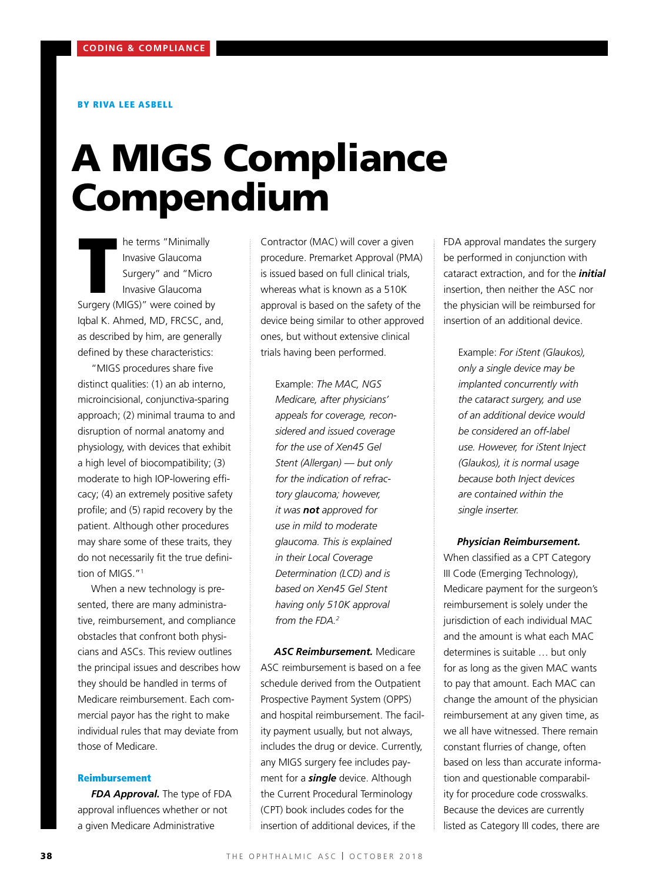#### BY RIVA LEE ASBELL

# A MIGS Compliance Compendium

Invasive Glaucoma<br>
Surgery" and "Micro<br>
Invasive Glaucoma<br>
Surgery (MIGS)" were coined by Invasive Glaucoma Surgery" and "Micro Invasive Glaucoma Iqbal K. Ahmed, MD, FRCSC, and, as described by him, are generally defined by these characteristics:

"MIGS procedures share five distinct qualities: (1) an ab interno, microincisional, conjunctiva-sparing approach; (2) minimal trauma to and disruption of normal anatomy and physiology, with devices that exhibit a high level of biocompatibility; (3) moderate to high IOP-lowering efficacy; (4) an extremely positive safety profile; and (5) rapid recovery by the patient. Although other procedures may share some of these traits, they do not necessarily fit the true definition of MIGS."<sup>1</sup>

When a new technology is presented, there are many administrative, reimbursement, and compliance obstacles that confront both physicians and ASCs. This review outlines the principal issues and describes how they should be handled in terms of Medicare reimbursement. Each commercial payor has the right to make individual rules that may deviate from those of Medicare.

#### Reimbursement

*FDA Approval.* The type of FDA approval influences whether or not a given Medicare Administrative

Contractor (MAC) will cover a given procedure. Premarket Approval (PMA) is issued based on full clinical trials, whereas what is known as a 510K approval is based on the safety of the device being similar to other approved ones, but without extensive clinical trials having been performed.

Example: *The MAC, NGS Medicare, after physicians' appeals for coverage, reconsidered and issued coverage for the use of Xen45 Gel Stent (Allergan) — but only for the indication of refractory glaucoma; however, it was not approved for use in mild to moderate glaucoma. This is explained in their Local Coverage Determination (LCD) and is based on Xen45 Gel Stent having only 510K approval from the FDA.2*

*ASC Reimbursement.* Medicare ASC reimbursement is based on a fee schedule derived from the Outpatient Prospective Payment System (OPPS) and hospital reimbursement. The facility payment usually, but not always, includes the drug or device. Currently, any MIGS surgery fee includes payment for a *single* device. Although the Current Procedural Terminology (CPT) book includes codes for the insertion of additional devices, if the

FDA approval mandates the surgery be performed in conjunction with cataract extraction, and for the *initial* insertion, then neither the ASC nor the physician will be reimbursed for insertion of an additional device.

Example: *For iStent (Glaukos), only a single device may be implanted concurrently with the cataract surgery, and use of an additional device would be considered an off-label use. However, for iStent Inject (Glaukos), it is normal usage because both Inject devices are contained within the single inserter.*

#### *Physician Reimbursement.*

When classified as a CPT Category III Code (Emerging Technology), Medicare payment for the surgeon's reimbursement is solely under the jurisdiction of each individual MAC and the amount is what each MAC determines is suitable … but only for as long as the given MAC wants to pay that amount. Each MAC can change the amount of the physician reimbursement at any given time, as we all have witnessed. There remain constant flurries of change, often based on less than accurate information and questionable comparability for procedure code crosswalks. Because the devices are currently listed as Category III codes, there are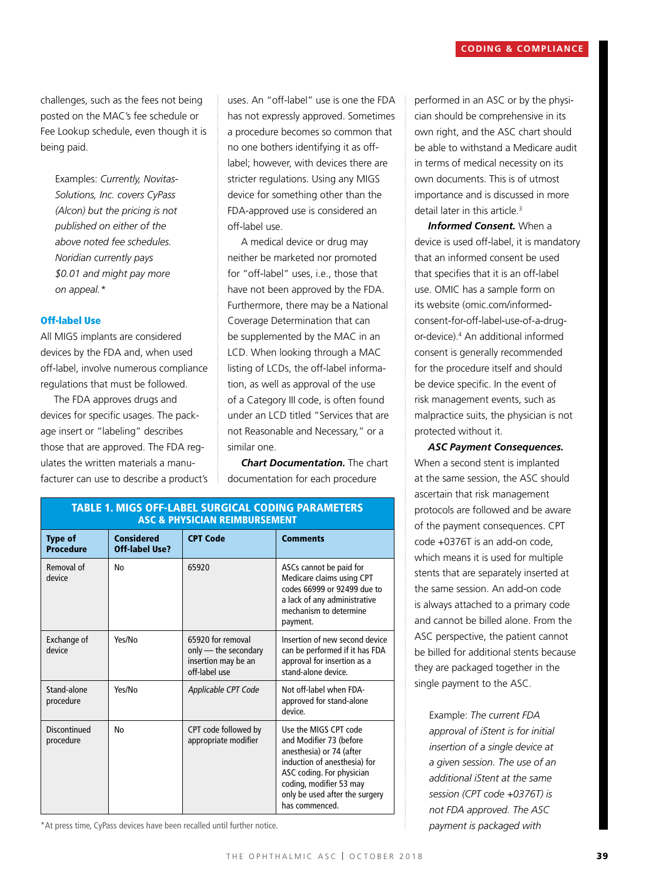challenges, such as the fees not being posted on the MAC's fee schedule or Fee Lookup schedule, even though it is being paid.

Examples: *Currently, Novitas-Solutions, Inc. covers CyPass (Alcon) but the pricing is not published on either of the above noted fee schedules. Noridian currently pays \$0.01 and might pay more on appeal.\**

#### Off-label Use

All MIGS implants are considered devices by the FDA and, when used off-label, involve numerous compliance regulations that must be followed.

The FDA approves drugs and devices for specific usages. The package insert or "labeling" describes those that are approved. The FDA regulates the written materials a manufacturer can use to describe a product's uses. An "off-label" use is one the FDA has not expressly approved. Sometimes a procedure becomes so common that no one bothers identifying it as offlabel; however, with devices there are stricter regulations. Using any MIGS device for something other than the FDA-approved use is considered an off-label use.

A medical device or drug may neither be marketed nor promoted for "off-label" uses, i.e., those that have not been approved by the FDA. Furthermore, there may be a National Coverage Determination that can be supplemented by the MAC in an LCD. When looking through a MAC listing of LCDs, the off-label information, as well as approval of the use of a Category III code, is often found under an LCD titled "Services that are not Reasonable and Necessary," or a similar one.

*Chart Documentation.* The chart documentation for each procedure

| <b>TABLE 1. MIGS OFF-LABEL SURGICAL CODING PARAMETERS</b><br><b>ASC &amp; PHYSICIAN REIMBURSEMENT</b> |                                     |                                                                                   |                                                                                                                                                                                                                          |  |
|-------------------------------------------------------------------------------------------------------|-------------------------------------|-----------------------------------------------------------------------------------|--------------------------------------------------------------------------------------------------------------------------------------------------------------------------------------------------------------------------|--|
| <b>Type of</b><br><b>Procedure</b>                                                                    | <b>Considered</b><br>Off-label Use? | <b>CPT Code</b>                                                                   | <b>Comments</b>                                                                                                                                                                                                          |  |
| Removal of<br>device                                                                                  | No                                  | 65920                                                                             | ASCs cannot be paid for<br>Medicare claims using CPT<br>codes 66999 or 92499 due to<br>a lack of any administrative<br>mechanism to determine<br>payment.                                                                |  |
| Exchange of<br>device                                                                                 | Yes/No                              | 65920 for removal<br>only - the secondary<br>insertion may be an<br>off-label use | Insertion of new second device<br>can be performed if it has FDA<br>approval for insertion as a<br>stand-alone device.                                                                                                   |  |
| Stand-alone<br>procedure                                                                              | Yes/No                              | Applicable CPT Code                                                               | Not off-label when FDA-<br>approved for stand-alone<br>device.                                                                                                                                                           |  |
| Discontinued<br>procedure                                                                             | No                                  | CPT code followed by<br>appropriate modifier                                      | Use the MIGS CPT code<br>and Modifier 73 (before<br>anesthesia) or 74 (after<br>induction of anesthesia) for<br>ASC coding. For physician<br>coding, modifier 53 may<br>only be used after the surgery<br>has commenced. |  |

\*At press time, CyPass devices have been recalled until further notice.

performed in an ASC or by the physician should be comprehensive in its own right, and the ASC chart should be able to withstand a Medicare audit in terms of medical necessity on its own documents. This is of utmost importance and is discussed in more detail later in this article.<sup>3</sup>

*Informed Consent.* When a device is used off-label, it is mandatory that an informed consent be used that specifies that it is an off-label use. OMIC has a sample form on its website (omic.com/informedconsent-for-off-label-use-of-a-drugor-device).4 An additional informed consent is generally recommended for the procedure itself and should be device specific. In the event of risk management events, such as malpractice suits, the physician is not protected without it.

*ASC Payment Consequences.* When a second stent is implanted at the same session, the ASC should ascertain that risk management protocols are followed and be aware of the payment consequences. CPT code +0376T is an add-on code, which means it is used for multiple stents that are separately inserted at the same session. An add-on code is always attached to a primary code and cannot be billed alone. From the ASC perspective, the patient cannot be billed for additional stents because they are packaged together in the single payment to the ASC.

Example: *The current FDA approval of iStent is for initial insertion of a single device at a given session. The use of an additional iStent at the same session (CPT code +0376T) is not FDA approved. The ASC payment is packaged with*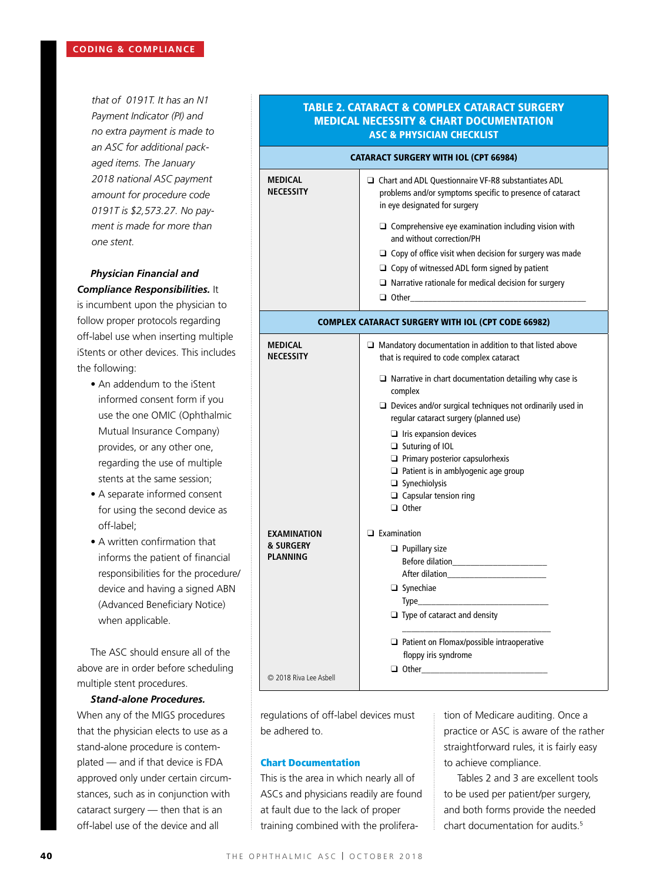*that of 0191T. It has an N1 Payment Indicator (PI) and no extra payment is made to an ASC for additional packaged items. The January 2018 national ASC payment amount for procedure code 0191T is \$2,573.27. No payment is made for more than one stent.*

# *Physician Financial and Compliance Responsibilities.* It

is incumbent upon the physician to follow proper protocols regarding off-label use when inserting multiple iStents or other devices. This includes the following:

- An addendum to the iStent informed consent form if you use the one OMIC (Ophthalmic Mutual Insurance Company) provides, or any other one, regarding the use of multiple stents at the same session;
- A separate informed consent for using the second device as off-label;
- A written confirmation that informs the patient of financial responsibilities for the procedure/ device and having a signed ABN (Advanced Beneficiary Notice) when applicable.

The ASC should ensure all of the above are in order before scheduling multiple stent procedures.

# *Stand-alone Procedures.*

When any of the MIGS procedures that the physician elects to use as a stand-alone procedure is contemplated — and if that device is FDA approved only under certain circumstances, such as in conjunction with cataract surgery — then that is an off-label use of the device and all

# TABLE 2. CATARACT & COMPLEX CATARACT SURGERY MEDICAL NECESSITY & CHART DOCUMENTATION ASC & PHYSICIAN CHECKLIST

| <b>CATARACT SURGERY WITH IOL (CPT 66984)</b>              |                                                                                                                                                           |  |  |
|-----------------------------------------------------------|-----------------------------------------------------------------------------------------------------------------------------------------------------------|--|--|
| MEDICAL<br><b>NECESSITY</b>                               | $\Box$ Chart and ADL Questionnaire VF-R8 substantiates ADL<br>problems and/or symptoms specific to presence of cataract<br>in eye designated for surgery  |  |  |
|                                                           | $\Box$ Comprehensive eye examination including vision with<br>and without correction/PH<br>$\Box$ Copy of office visit when decision for surgery was made |  |  |
|                                                           | $\Box$ Copy of witnessed ADL form signed by patient                                                                                                       |  |  |
|                                                           | $\Box$ Narrative rationale for medical decision for surgery                                                                                               |  |  |
| <b>COMPLEX CATARACT SURGERY WITH IOL (CPT CODE 66982)</b> |                                                                                                                                                           |  |  |
| <b>MEDICAL</b><br><b>NECESSITY</b>                        | $\Box$ Mandatory documentation in addition to that listed above<br>that is required to code complex cataract                                              |  |  |
|                                                           | $\Box$ Narrative in chart documentation detailing why case is<br>complex                                                                                  |  |  |
|                                                           | $\Box$ Devices and/or surgical techniques not ordinarily used in<br>regular cataract surgery (planned use)                                                |  |  |
|                                                           | $\Box$ Iris expansion devices                                                                                                                             |  |  |
|                                                           | $\Box$ Suturing of IOL<br>$\Box$ Primary posterior capsulorhexis                                                                                          |  |  |
|                                                           | $\Box$ Patient is in amblyogenic age group<br>$\Box$ Synechiolysis                                                                                        |  |  |
|                                                           | $\Box$ Capsular tension ring                                                                                                                              |  |  |
|                                                           | $\Box$ Other                                                                                                                                              |  |  |
| EXAMINATION                                               | $\Box$ Examination                                                                                                                                        |  |  |
| <b>&amp; SURGERY</b><br><b>PLANNING</b>                   | $\Box$ Pupillary size                                                                                                                                     |  |  |
|                                                           |                                                                                                                                                           |  |  |
|                                                           | $\Box$ Synechiae                                                                                                                                          |  |  |
|                                                           | $\Box$ Type of cataract and density                                                                                                                       |  |  |
|                                                           |                                                                                                                                                           |  |  |
|                                                           | $\Box$ Patient on Flomax/possible intraoperative<br>floppy iris syndrome                                                                                  |  |  |
|                                                           |                                                                                                                                                           |  |  |
| C 2018 Riva Lee Asbell                                    |                                                                                                                                                           |  |  |

regulations of off-label devices must be adhered to.

# Chart Documentation

This is the area in which nearly all of ASCs and physicians readily are found at fault due to the lack of proper training combined with the proliferation of Medicare auditing. Once a practice or ASC is aware of the rather straightforward rules, it is fairly easy to achieve compliance.

Tables 2 and 3 are excellent tools to be used per patient/per surgery, and both forms provide the needed chart documentation for audits.5